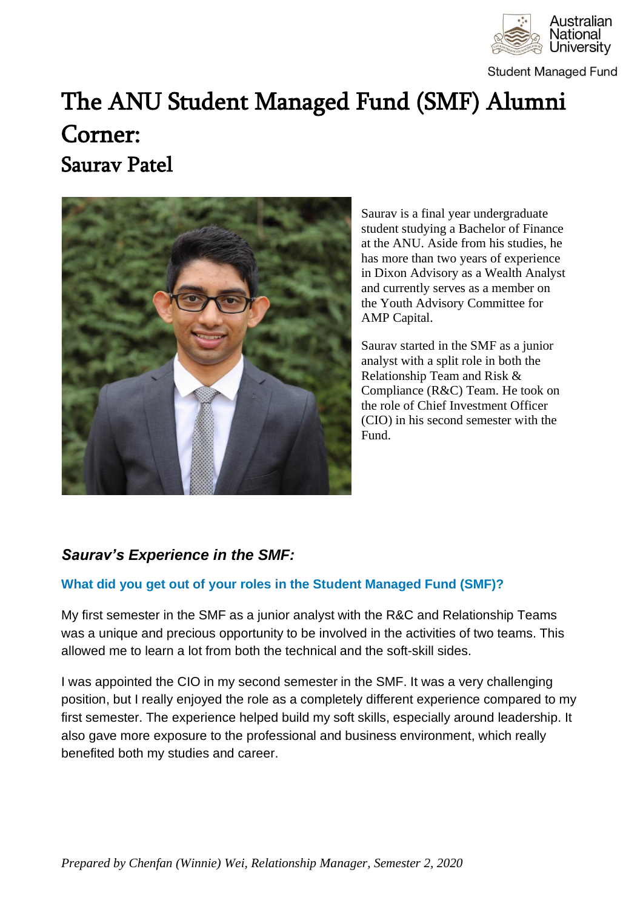

**Student Managed Fund** 

# The ANU Student Managed Fund (SMF) Alumni Corner: Saurav Patel



Saurav is a final year undergraduate student studying a Bachelor of Finance at the ANU. Aside from his studies, he has more than two years of experience in Dixon Advisory as a Wealth Analyst and currently serves as a member on the Youth Advisory Committee for AMP Capital.

Saurav started in the SMF as a junior analyst with a split role in both the Relationship Team and Risk & Compliance (R&C) Team. He took on the role of Chief Investment Officer (CIO) in his second semester with the Fund.

## *Saurav's Experience in the SMF:*

#### **What did you get out of your roles in the Student Managed Fund (SMF)?**

My first semester in the SMF as a junior analyst with the R&C and Relationship Teams was a unique and precious opportunity to be involved in the activities of two teams. This allowed me to learn a lot from both the technical and the soft-skill sides.

I was appointed the CIO in my second semester in the SMF. It was a very challenging position, but I really enjoyed the role as a completely different experience compared to my first semester. The experience helped build my soft skills, especially around leadership. It also gave more exposure to the professional and business environment, which really benefited both my studies and career.